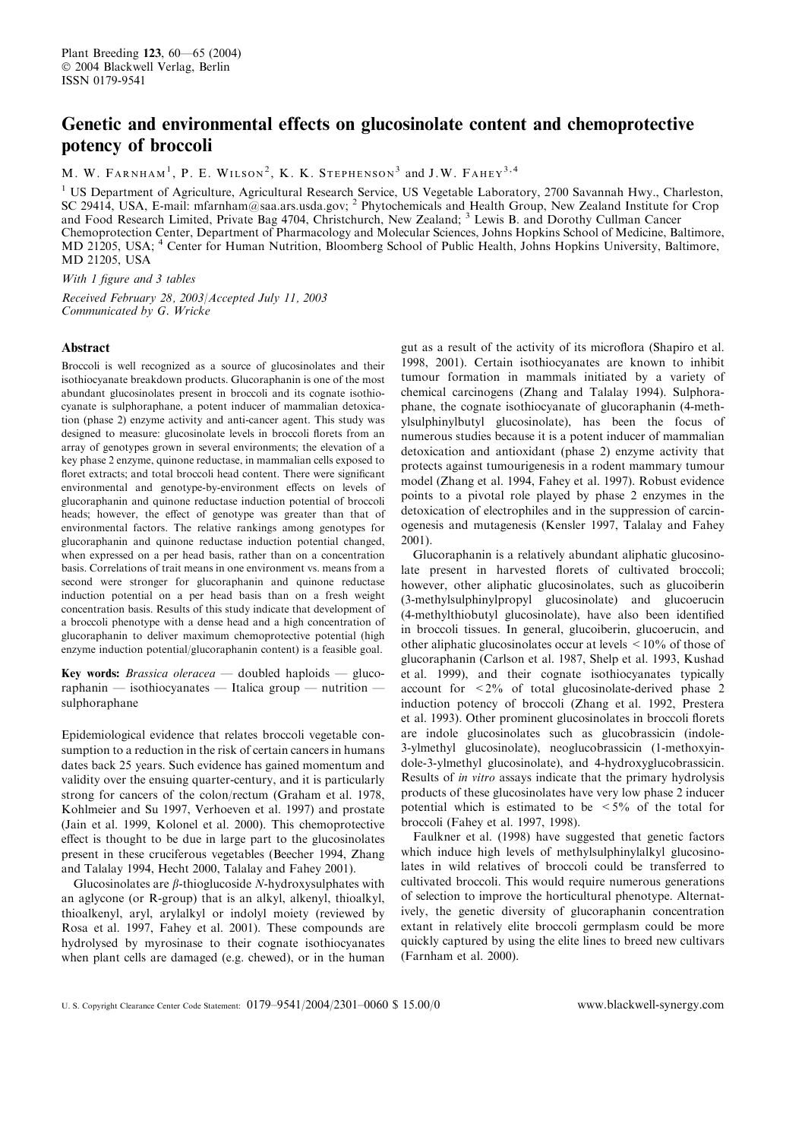# Genetic and environmental effects on glucosinolate content and chemoprotective potency of broccoli

M. W. FARNHAM<sup>1</sup>, P. E. WILSON<sup>2</sup>, K. K. STEPHENSON<sup>3</sup> and J.W. FAHEY<sup>3,4</sup>

<sup>1</sup> US Department of Agriculture, Agricultural Research Service, US Vegetable Laboratory, 2700 Savannah Hwy., Charleston, SC 29414, USA, E-mail: mfarnham@saa.ars.usda.gov; <sup>2</sup> Phytochemicals and Health Group, New Zealand Institute for Crop and Food Research Limited, Private Bag 4704, Christchurch, New Zealand; <sup>3</sup> Lewis B. and Dorothy Cullman Cancer Chemoprotection Center, Department of Pharmacologyand Molecular Sciences, Johns Hopkins School of Medicine, Baltimore, MD 21205, USA; <sup>4</sup> Center for Human Nutrition, Bloomberg School of Public Health, Johns Hopkins University, Baltimore, MD 21205, USA

With 1 figure and 3 tables

Received February 28, 2003/Accepted July 11, 2003 Communicated by G. Wricke

# Abstract

Broccoli is well recognized as a source of glucosinolates and their isothiocyanate breakdown products. Glucoraphanin is one of the most abundant glucosinolates present in broccoli and its cognate isothiocyanate is sulphoraphane, a potent inducer of mammalian detoxication (phase 2) enzyme activity and anti-cancer agent. This study was designed to measure: glucosinolate levels in broccoli florets from an arrayof genotypes grown in several environments; the elevation of a key phase 2 enzyme, quinone reductase, in mammalian cells exposed to floret extracts; and total broccoli head content. There were significant environmental and genotype-by-environment effects on levels of glucoraphanin and quinone reductase induction potential of broccoli heads; however, the effect of genotype was greater than that of environmental factors. The relative rankings among genotypes for glucoraphanin and quinone reductase induction potential changed, when expressed on a per head basis, rather than on a concentration basis. Correlations of trait means in one environment vs. means from a second were stronger for glucoraphanin and quinone reductase induction potential on a per head basis than on a fresh weight concentration basis. Results of this study indicate that development of a broccoli phenotype with a dense head and a high concentration of glucoraphanin to deliver maximum chemoprotective potential (high enzyme induction potential/glucoraphanin content) is a feasible goal.

Key words: *Brassica oleracea* — doubled haploids — glucoraphanin — isothiocyanates — Italica group — nutrition sulphoraphane

Epidemiological evidence that relates broccoli vegetable consumption to a reduction in the risk of certain cancers in humans dates back 25 years. Such evidence has gained momentum and validity over the ensuing quarter-century, and it is particularly strong for cancers of the colon/rectum (Graham et al. 1978, Kohlmeier and Su 1997, Verhoeven et al. 1997) and prostate (Jain et al. 1999, Kolonel et al. 2000). This chemoprotective effect is thought to be due in large part to the glucosinolates present in these cruciferous vegetables (Beecher 1994, Zhang and Talalay 1994, Hecht 2000, Talalay and Fahey 2001).

Glucosinolates are  $\beta$ -thioglucoside N-hydroxysulphates with an aglycone (or R-group) that is an alkyl, alkenyl, thioalkyl, thioalkenyl, aryl, arylalkyl or indolyl moiety (reviewed by Rosa et al. 1997, Fahey et al. 2001). These compounds are hydrolysed by myrosinase to their cognate isothiocyanates when plant cells are damaged (e.g. chewed), or in the human

gut as a result of the activityof its microflora (Shapiro et al. 1998, 2001). Certain isothiocyanates are known to inhibit tumour formation in mammals initiated by a variety of chemical carcinogens (Zhang and Talalay 1994). Sulphoraphane, the cognate isothiocyanate of glucoraphanin (4-methylsulphinylbutyl glucosinolate), has been the focus of numerous studies because it is a potent inducer of mammalian detoxication and antioxidant (phase 2) enzyme activity that protects against tumourigenesis in a rodent mammarytumour model (Zhang et al. 1994, Fahey et al. 1997). Robust evidence points to a pivotal role played by phase 2 enzymes in the detoxication of electrophiles and in the suppression of carcinogenesis and mutagenesis (Kensler 1997, Talalayand Fahey 2001).

Glucoraphanin is a relativelyabundant aliphatic glucosinolate present in harvested florets of cultivated broccoli; however, other aliphatic glucosinolates, such as glucoiberin (3-methylsulphinylpropyl glucosinolate) and glucoerucin (4-methylthiobutyl glucosinolate), have also been identified in broccoli tissues. In general, glucoiberin, glucoerucin, and other aliphatic glucosinolates occur at levels <10% of those of glucoraphanin (Carlson et al. 1987, Shelp et al. 1993, Kushad et al. 1999), and their cognate isothiocyanates typically account for <2% of total glucosinolate-derived phase 2 induction potency of broccoli (Zhang et al. 1992, Prestera et al. 1993). Other prominent glucosinolates in broccoli florets are indole glucosinolates such as glucobrassicin (indole-3-ylmethyl glucosinolate), neoglucobrassicin (1-methoxyindole-3-ylmethyl glucosinolate), and 4-hydroxyglucobrassicin. Results of in vitro assays indicate that the primary hydrolysis products of these glucosinolates have verylow phase 2 inducer potential which is estimated to be  $\leq 5\%$  of the total for broccoli (Fahey et al. 1997, 1998).

Faulkner et al. (1998) have suggested that genetic factors which induce high levels of methylsulphinylalkyl glucosinolates in wild relatives of broccoli could be transferred to cultivated broccoli. This would require numerous generations of selection to improve the horticultural phenotype. Alternatively, the genetic diversity of glucoraphanin concentration extant in relatively elite broccoli germplasm could be more quickly captured by using the elite lines to breed new cultivars (Farnham et al. 2000).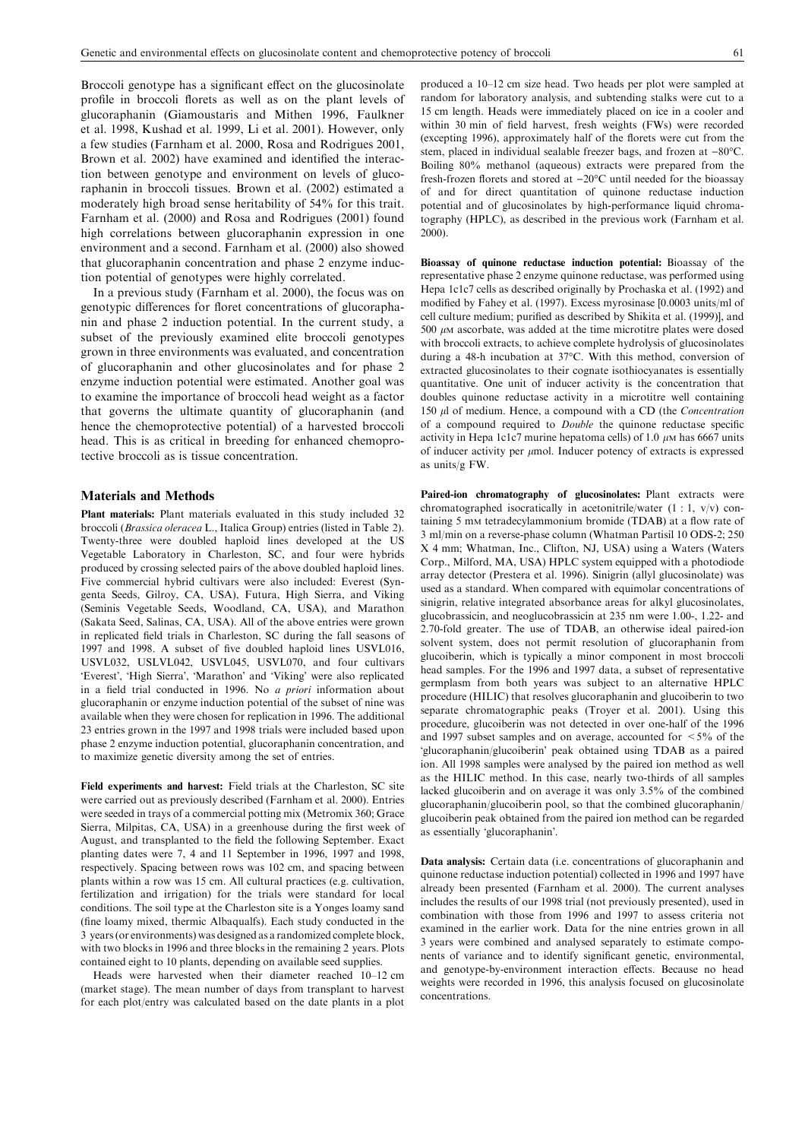Broccoli genotype has a significant effect on the glucosinolate profile in broccoli florets as well as on the plant levels of glucoraphanin (Giamoustaris and Mithen 1996, Faulkner et al. 1998, Kushad et al. 1999, Li et al. 2001). However, only a few studies (Farnham et al. 2000, Rosa and Rodrigues 2001, Brown et al. 2002) have examined and identified the interaction between genotype and environment on levels of glucoraphanin in broccoli tissues. Brown et al. (2002) estimated a moderately high broad sense heritability of 54% for this trait. Farnham et al. (2000) and Rosa and Rodrigues (2001) found high correlations between glucoraphanin expression in one environment and a second. Farnham et al. (2000) also showed that glucoraphanin concentration and phase 2 enzyme induction potential of genotypes were highly correlated.

In a previous study(Farnham et al. 2000), the focus was on genotypic differences for floret concentrations of glucoraphanin and phase 2 induction potential. In the current study, a subset of the previously examined elite broccoli genotypes grown in three environments was evaluated, and concentration of glucoraphanin and other glucosinolates and for phase 2 enzyme induction potential were estimated. Another goal was to examine the importance of broccoli head weight as a factor that governs the ultimate quantity of glucoraphanin (and hence the chemoprotective potential) of a harvested broccoli head. This is as critical in breeding for enhanced chemoprotective broccoli as is tissue concentration.

### Materials and Methods

Plant materials: Plant materials evaluated in this study included 32 broccoli (Brassica oleracea L., Italica Group) entries (listed in Table 2). Twenty-three were doubled haploid lines developed at the US Vegetable Laboratory in Charleston, SC, and four were hybrids produced by crossing selected pairs of the above doubled haploid lines. Five commercial hybrid cultivars were also included: Everest (Syngenta Seeds, Gilroy, CA, USA), Futura, High Sierra, and Viking (Seminis Vegetable Seeds, Woodland, CA, USA), and Marathon (Sakata Seed, Salinas, CA, USA). All of the above entries were grown in replicated field trials in Charleston, SC during the fall seasons of 1997 and 1998. A subset of five doubled haploid lines USVL016, USVL032, USLVL042, USVL045, USVL070, and four cultivars 'Everest', 'High Sierra', 'Marathon' and 'Viking' were also replicated in a field trial conducted in 1996. No a priori information about glucoraphanin or enzyme induction potential of the subset of nine was available when they were chosen for replication in 1996. The additional 23 entries grown in the 1997 and 1998 trials were included based upon phase 2 enzyme induction potential, glucoraphanin concentration, and to maximize genetic diversityamong the set of entries.

Field experiments and harvest: Field trials at the Charleston, SC site were carried out as previously described (Farnham et al. 2000). Entries were seeded in trays of a commercial potting mix (Metromix 360; Grace Sierra, Milpitas, CA, USA) in a greenhouse during the first week of August, and transplanted to the field the following September. Exact planting dates were 7, 4 and 11 September in 1996, 1997 and 1998, respectively. Spacing between rows was 102 cm, and spacing between plants within a row was 15 cm. All cultural practices (e.g. cultivation, fertilization and irrigation) for the trials were standard for local conditions. The soil type at the Charleston site is a Yonges loamy sand (fine loamy mixed, thermic Albaqualfs). Each study conducted in the 3 years (or environments) was designed as a randomized complete block, with two blocks in 1996 and three blocks in the remaining 2 years. Plots contained eight to 10 plants, depending on available seed supplies.

Heads were harvested when their diameter reached 10–12 cm (market stage). The mean number of days from transplant to harvest for each plot/entry was calculated based on the date plants in a plot

produced a 10–12 cm size head. Two heads per plot were sampled at random for laboratoryanalysis, and subtending stalks were cut to a 15 cm length. Heads were immediately placed on ice in a cooler and within 30 min of field harvest, fresh weights (FWs) were recorded (excepting 1996), approximately half of the florets were cut from the stem, placed in individual sealable freezer bags, and frozen at -80°C. Boiling 80% methanol (aqueous) extracts were prepared from the fresh-frozen florets and stored at  $-20^{\circ}$ C until needed for the bioassay of and for direct quantitation of quinone reductase induction potential and of glucosinolates by high-performance liquid chromatography(HPLC), as described in the previous work (Farnham et al. 2000).

Bioassay of quinone reductase induction potential: Bioassay of the representative phase 2 enzyme quinone reductase, was performed using Hepa 1c1c7 cells as described originally by Prochaska et al. (1992) and modified by Fahey et al. (1997). Excess myrosinase [0.0003 units/ml of cell culture medium; purified as described byShikita et al. (1999)], and 500  $\mu$ M ascorbate, was added at the time microtitre plates were dosed with broccoli extracts, to achieve complete hydrolysis of glucosinolates during a 48-h incubation at 37°C. With this method, conversion of extracted glucosinolates to their cognate isothiocyanates is essentially quantitative. One unit of inducer activity is the concentration that doubles quinone reductase activity in a microtitre well containing 150 *ul* of medium. Hence, a compound with a CD (the *Concentration* of a compound required to Double the quinone reductase specific activity in Hepa 1c1c7 murine hepatoma cells) of 1.0  $\mu$ M has 6667 units of inducer activity per  $\mu$ mol. Inducer potency of extracts is expressed as units/g FW.

Paired-ion chromatography of glucosinolates: Plant extracts were chromatographed isocratically in acetonitrile/water  $(1 : 1, v/v)$  containing 5 mM tetradecylammonium bromide (TDAB) at a flow rate of 3 ml/min on a reverse-phase column (Whatman Partisil 10 ODS-2; 250 X 4 mm; Whatman, Inc., Clifton, NJ, USA) using a Waters (Waters Corp., Milford, MA, USA) HPLC system equipped with a photodiode arraydetector (Prestera et al. 1996). Sinigrin (allyl glucosinolate) was used as a standard. When compared with equimolar concentrations of sinigrin, relative integrated absorbance areas for alkyl glucosinolates, glucobrassicin, and neoglucobrassicin at 235 nm were 1.00-, 1.22- and 2.70-fold greater. The use of TDAB, an otherwise ideal paired-ion solvent system, does not permit resolution of glucoraphanin from glucoiberin, which is typically a minor component in most broccoli head samples. For the 1996 and 1997 data, a subset of representative germplasm from both years was subject to an alternative HPLC procedure (HILIC) that resolves glucoraphanin and glucoiberin to two separate chromatographic peaks (Troyer et al. 2001). Using this procedure, glucoiberin was not detected in over one-half of the 1996 and 1997 subset samples and on average, accounted for  $\leq 5\%$  of the 'glucoraphanin/glucoiberin' peak obtained using TDAB as a paired ion. All 1998 samples were analysed by the paired ion method as well as the HILIC method. In this case, nearly two-thirds of all samples lacked glucoiberin and on average it was only 3.5% of the combined glucoraphanin/glucoiberin pool, so that the combined glucoraphanin/ glucoiberin peak obtained from the paired ion method can be regarded as essentially 'glucoraphanin'.

Data analysis: Certain data (i.e. concentrations of glucoraphanin and quinone reductase induction potential) collected in 1996 and 1997 have already been presented (Farnham et al. 2000). The current analyses includes the results of our 1998 trial (not previously presented), used in combination with those from 1996 and 1997 to assess criteria not examined in the earlier work. Data for the nine entries grown in all 3 years were combined and analysed separately to estimate components of variance and to identify significant genetic, environmental, and genotype-by-environment interaction effects. Because no head weights were recorded in 1996, this analysis focused on glucosinolate concentrations.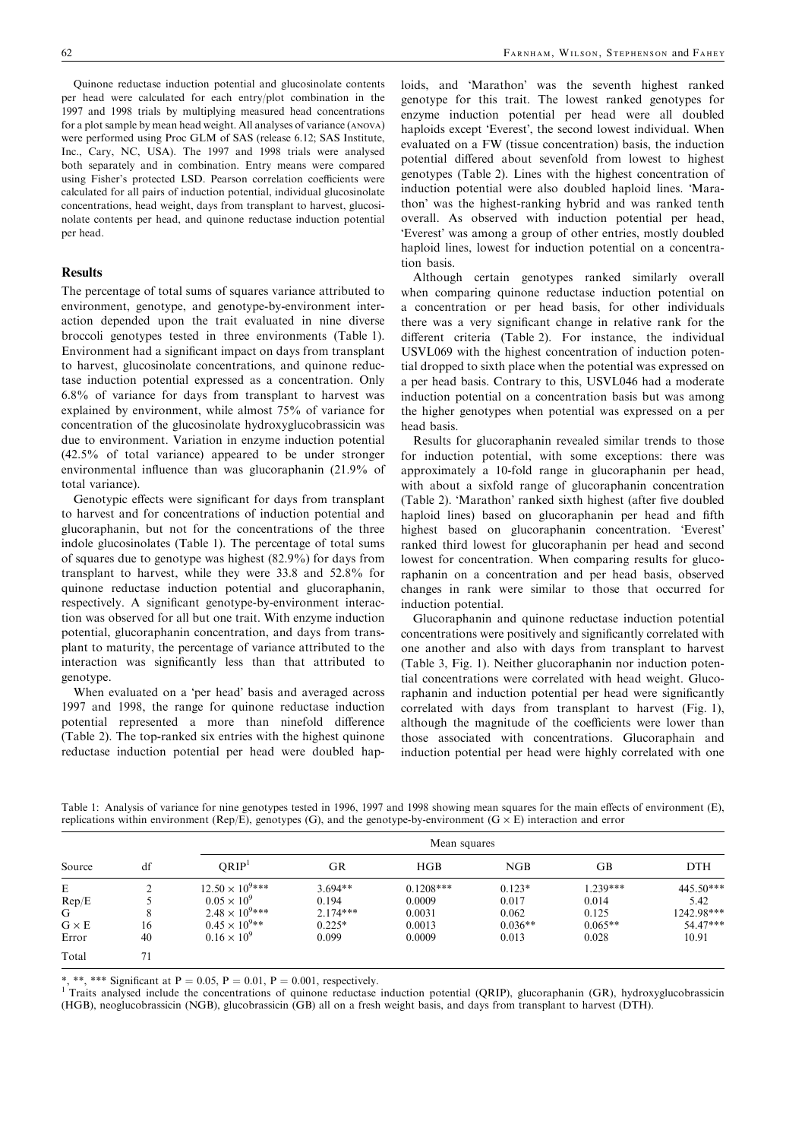Quinone reductase induction potential and glucosinolate contents per head were calculated for each entry/plot combination in the 1997 and 1998 trials bymultiplying measured head concentrations for a plot sample bymean head weight. All analyses of variance (ANOVA) were performed using Proc GLM of SAS (release 6.12; SAS Institute, Inc., Cary, NC, USA). The 1997 and 1998 trials were analysed both separately and in combination. Entry means were compared using Fisher's protected LSD. Pearson correlation coefficients were calculated for all pairs of induction potential, individual glucosinolate concentrations, head weight, days from transplant to harvest, glucosinolate contents per head, and quinone reductase induction potential per head.

# Results

The percentage of total sums of squares variance attributed to environment, genotype, and genotype-by-environment interaction depended upon the trait evaluated in nine diverse broccoli genotypes tested in three environments (Table 1). Environment had a significant impact on days from transplant to harvest, glucosinolate concentrations, and quinone reductase induction potential expressed as a concentration. Only 6.8% of variance for days from transplant to harvest was explained by environment, while almost 75% of variance for concentration of the glucosinolate hydroxyglucobrassicin was due to environment. Variation in enzyme induction potential (42.5% of total variance) appeared to be under stronger environmental influence than was glucoraphanin (21.9% of total variance).

Genotypic effects were significant for days from transplant to harvest and for concentrations of induction potential and glucoraphanin, but not for the concentrations of the three indole glucosinolates (Table 1). The percentage of total sums of squares due to genotype was highest (82.9%) for days from transplant to harvest, while they were 33.8 and 52.8% for quinone reductase induction potential and glucoraphanin, respectively. A significant genotype-by-environment interaction was observed for all but one trait. With enzyme induction potential, glucoraphanin concentration, and days from transplant to maturity, the percentage of variance attributed to the interaction was significantly less than that attributed to genotype.

When evaluated on a 'per head' basis and averaged across 1997 and 1998, the range for quinone reductase induction potential represented a more than ninefold difference (Table 2). The top-ranked six entries with the highest quinone reductase induction potential per head were doubled hap-

loids, and 'Marathon' was the seventh highest ranked genotype for this trait. The lowest ranked genotypes for enzyme induction potential per head were all doubled haploids except 'Everest', the second lowest individual. When evaluated on a FW (tissue concentration) basis, the induction potential differed about sevenfold from lowest to highest genotypes (Table 2). Lines with the highest concentration of induction potential were also doubled haploid lines. Marathon' was the highest-ranking hybrid and was ranked tenth overall. As observed with induction potential per head, 'Everest' was among a group of other entries, mostly doubled haploid lines, lowest for induction potential on a concentration basis.

Although certain genotypes ranked similarly overall when comparing quinone reductase induction potential on a concentration or per head basis, for other individuals there was a verysignificant change in relative rank for the different criteria (Table 2). For instance, the individual USVL069 with the highest concentration of induction potential dropped to sixth place when the potential was expressed on a per head basis. Contrary to this, USVL046 had a moderate induction potential on a concentration basis but was among the higher genotypes when potential was expressed on a per head basis.

Results for glucoraphanin revealed similar trends to those for induction potential, with some exceptions: there was approximatelya 10-fold range in glucoraphanin per head, with about a sixfold range of glucoraphanin concentration (Table 2). 'Marathon' ranked sixth highest (after five doubled haploid lines) based on glucoraphanin per head and fifth highest based on glucoraphanin concentration. 'Everest' ranked third lowest for glucoraphanin per head and second lowest for concentration. When comparing results for glucoraphanin on a concentration and per head basis, observed changes in rank were similar to those that occurred for induction potential.

Glucoraphanin and quinone reductase induction potential concentrations were positively and significantly correlated with one another and also with days from transplant to harvest (Table 3, Fig. 1). Neither glucoraphanin nor induction potential concentrations were correlated with head weight. Glucoraphanin and induction potential per head were significantly correlated with days from transplant to harvest (Fig. 1), although the magnitude of the coefficients were lower than those associated with concentrations. Glucoraphain and induction potential per head were highly correlated with one

| Source       | df |                          | Mean squares |             |           |           |            |  |  |
|--------------|----|--------------------------|--------------|-------------|-----------|-----------|------------|--|--|
|              |    | ORIP <sup>1</sup>        | GR           | HGB         | NGB       | GВ        | <b>DTH</b> |  |  |
| E            |    | $12.50 \times 10^{9***}$ | $3.694**$    | $0.1208***$ | $0.123*$  | 1.239***  | 445.50***  |  |  |
| Rep/E        |    | $0.05 \times 10^{9}$     | 0.194        | 0.0009      | 0.017     | 0.014     | 5.42       |  |  |
| G            | 8  | $2.48 \times 10^{9***}$  | $2.174***$   | 0.0031      | 0.062     | 0.125     | 1242.98*** |  |  |
| $G \times E$ | 16 | $0.45 \times 10^{9**}$   | $0.225*$     | 0.0013      | $0.036**$ | $0.065**$ | 54.47***   |  |  |
| Error        | 40 | $0.16 \times 10^{9}$     | 0.099        | 0.0009      | 0.013     | 0.028     | 10.91      |  |  |
| Total        | 71 |                          |              |             |           |           |            |  |  |

Table 1: Analysis of variance for nine genotypes tested in 1996, 1997 and 1998 showing mean squares for the main effects of environment (E), replications within environment (Rep/E), genotypes (G), and the genotype-by-environment ( $G \times E$ ) interaction and error

\*, \*\*, \*\*\* Significant at P = 0.05, P = 0.01, P = 0.001, respectively.<br><sup>1</sup> Traits analysed include the concentrations of quinone reductase induction potential (QRIP), glucoraphanin (GR), hydroxyglucobrassicin (HGB), neoglucobrassicin (NGB), glucobrassicin (GB) all on a fresh weight basis, and days from transplant to harvest (DTH).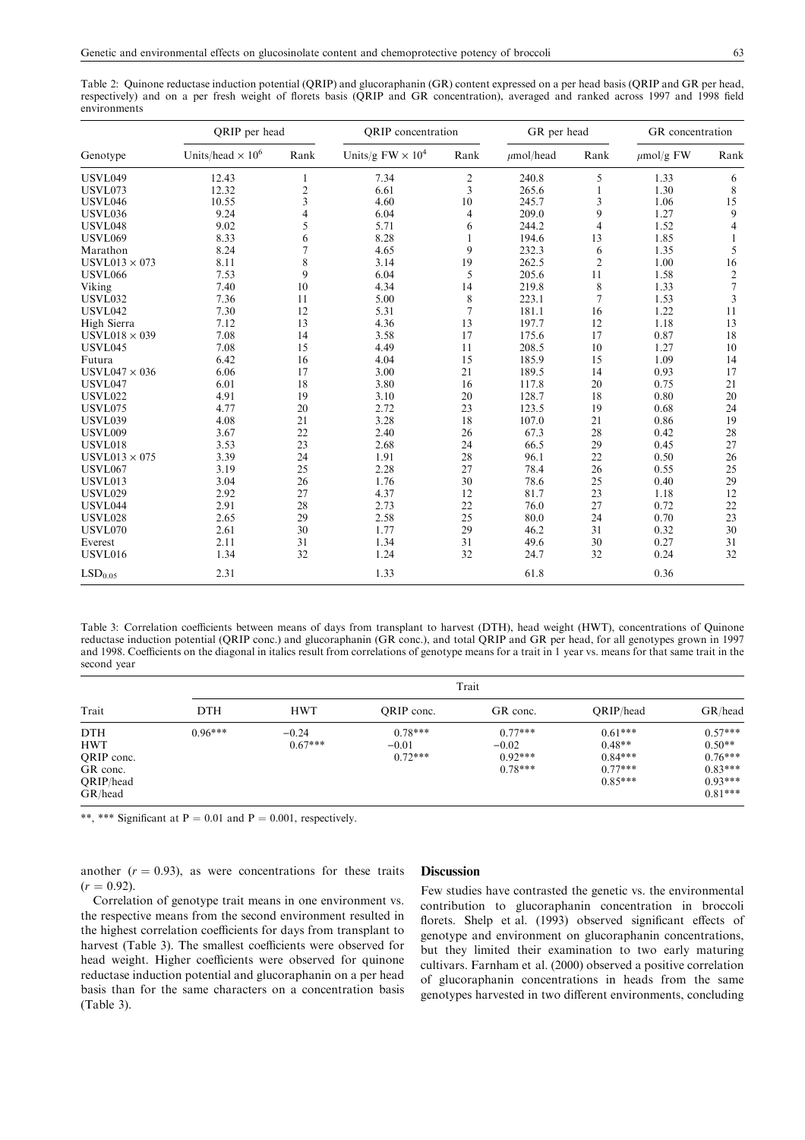Table 2: Quinone reductase induction potential (QRIP) and glucoraphanin (GR) content expressed on a per head basis (QRIP and GR per head, respectively) and on a per fresh weight of florets basis (QRIP and GR concentration), averaged and ranked across 1997 and 1998 field environments

|                      | QRIP per head            |      | <b>QRIP</b> concentration |                | GR per head    |                | GR concentration |                          |
|----------------------|--------------------------|------|---------------------------|----------------|----------------|----------------|------------------|--------------------------|
| Genotype             | Units/head $\times 10^6$ | Rank | Units/g $FW \times 10^4$  | Rank           | $\mu$ mol/head | Rank           | $\mu$ mol/g FW   | Rank                     |
| <b>USVL049</b>       | 12.43                    | 1    | 7.34                      | $\overline{c}$ | 240.8          | 5              | 1.33             | 6                        |
| <b>USVL073</b>       | 12.32                    | 2    | 6.61                      | 3              | 265.6          | 1              | 1.30             | 8                        |
| <b>USVL046</b>       | 10.55                    | 3    | 4.60                      | 10             | 245.7          | 3              | 1.06             | 15                       |
| <b>USVL036</b>       | 9.24                     | 4    | 6.04                      | 4              | 209.0          | 9              | 1.27             | 9                        |
| <b>USVL048</b>       | 9.02                     | 5    | 5.71                      | 6              | 244.2          | $\overline{4}$ | 1.52             | $\overline{\mathcal{L}}$ |
| <b>USVL069</b>       | 8.33                     | 6    | 8.28                      |                | 194.6          | 13             | 1.85             | 1                        |
| Marathon             | 8.24                     | 7    | 4.65                      | 9              | 232.3          | 6              | 1.35             | 5                        |
| USVL013 $\times$ 073 | 8.11                     | 8    | 3.14                      | 19             | 262.5          | $\overline{2}$ | 1.00             | 16                       |
| <b>USVL066</b>       | 7.53                     | 9    | 6.04                      | 5              | 205.6          | 11             | 1.58             | $\boldsymbol{2}$         |
| Viking               | 7.40                     | 10   | 4.34                      | 14             | 219.8          | $\,$ 8 $\,$    | 1.33             | $\overline{7}$           |
| <b>USVL032</b>       | 7.36                     | 11   | 5.00                      | 8              | 223.1          | 7              | 1.53             | 3                        |
| <b>USVL042</b>       | 7.30                     | 12   | 5.31                      | $\overline{7}$ | 181.1          | 16             | 1.22             | 11                       |
| High Sierra          | 7.12                     | 13   | 4.36                      | 13             | 197.7          | 12             | 1.18             | 13                       |
| USVL018 $\times$ 039 | 7.08                     | 14   | 3.58                      | 17             | 175.6          | 17             | 0.87             | 18                       |
| <b>USVL045</b>       | 7.08                     | 15   | 4.49                      | 11             | 208.5          | 10             | 1.27             | 10                       |
| Futura               | 6.42                     | 16   | 4.04                      | 15             | 185.9          | 15             | 1.09             | 14                       |
| $USVL047 \times 036$ | 6.06                     | 17   | 3.00                      | 21             | 189.5          | 14             | 0.93             | 17                       |
| <b>USVL047</b>       | 6.01                     | 18   | 3.80                      | 16             | 117.8          | 20             | 0.75             | 21                       |
| <b>USVL022</b>       | 4.91                     | 19   | 3.10                      | 20             | 128.7          | 18             | 0.80             | 20                       |
| <b>USVL075</b>       | 4.77                     | 20   | 2.72                      | 23             | 123.5          | 19             | 0.68             | 24                       |
| <b>USVL039</b>       | 4.08                     | 21   | 3.28                      | 18             | 107.0          | 21             | 0.86             | 19                       |
| <b>USVL009</b>       | 3.67                     | 22   | 2.40                      | 26             | 67.3           | 28             | 0.42             | 28                       |
| <b>USVL018</b>       | 3.53                     | 23   | 2.68                      | 24             | 66.5           | 29             | 0.45             | 27                       |
| USVL013 $\times$ 075 | 3.39                     | 24   | 1.91                      | 28             | 96.1           | 22             | 0.50             | 26                       |
| <b>USVL067</b>       | 3.19                     | 25   | 2.28                      | 27             | 78.4           | 26             | 0.55             | 25                       |
| <b>USVL013</b>       | 3.04                     | 26   | 1.76                      | 30             | 78.6           | 25             | 0.40             | 29                       |
| <b>USVL029</b>       | 2.92                     | 27   | 4.37                      | 12             | 81.7           | 23             | 1.18             | 12                       |
| <b>USVL044</b>       | 2.91                     | 28   | 2.73                      | 22             | 76.0           | 27             | 0.72             | 22                       |
| <b>USVL028</b>       | 2.65                     | 29   | 2.58                      | 25             | 80.0           | 24             | 0.70             | 23                       |
| <b>USVL070</b>       | 2.61                     | 30   | 1.77                      | 29             | 46.2           | 31             | 0.32             | 30                       |
| Everest              | 2.11                     | 31   | 1.34                      | 31             | 49.6           | 30             | 0.27             | 31                       |
| <b>USVL016</b>       | 1.34                     | 32   | 1.24                      | 32             | 24.7           | 32             | 0.24             | 32                       |
| LSD <sub>0.05</sub>  | 2.31                     |      | 1.33                      |                | 61.8           |                | 0.36             |                          |

Table 3: Correlation coefficients between means of days from transplant to harvest (DTH), head weight (HWT), concentrations of Quinone reductase induction potential (QRIP conc.) and glucoraphanin (GR conc.), and total QRIP and GR per head, for all genotypes grown in 1997 and 1998. Coefficients on the diagonal in italics result from correlations of genotype means for a trait in 1 year vs. means for that same trait in the second year

|                                                                            | Trait      |                      |                                   |                                                |                                                              |                                                                           |  |  |
|----------------------------------------------------------------------------|------------|----------------------|-----------------------------------|------------------------------------------------|--------------------------------------------------------------|---------------------------------------------------------------------------|--|--|
| Trait                                                                      | <b>DTH</b> | <b>HWT</b>           | ORIP conc.                        | GR conc.                                       | ORIP/head                                                    | GR/head                                                                   |  |  |
| <b>DTH</b><br><b>HWT</b><br>QRIP conc.<br>GR conc.<br>QRIP/head<br>GR/head | $0.96***$  | $-0.24$<br>$0.67***$ | $0.78***$<br>$-0.01$<br>$0.72***$ | $0.77***$<br>$-0.02$<br>$0.92***$<br>$0.78***$ | $0.61***$<br>$0.48**$<br>$0.84***$<br>$0.77***$<br>$0.85***$ | $0.57***$<br>$0.50**$<br>$0.76***$<br>$0.83***$<br>$0.93***$<br>$0.81***$ |  |  |

\*\*, \*\*\* Significant at  $P = 0.01$  and  $P = 0.001$ , respectively.

another  $(r = 0.93)$ , as were concentrations for these traits  $(r = 0.92)$ .

#### **Discussion**

Correlation of genotype trait means in one environment vs. the respective means from the second environment resulted in the highest correlation coefficients for days from transplant to harvest (Table 3). The smallest coefficients were observed for head weight. Higher coefficients were observed for quinone reductase induction potential and glucoraphanin on a per head basis than for the same characters on a concentration basis (Table 3).

Few studies have contrasted the genetic vs. the environmental contribution to glucoraphanin concentration in broccoli florets. Shelp et al. (1993) observed significant effects of genotype and environment on glucoraphanin concentrations, but they limited their examination to two early maturing cultivars. Farnham et al. (2000) observed a positive correlation of glucoraphanin concentrations in heads from the same genotypes harvested in two different environments, concluding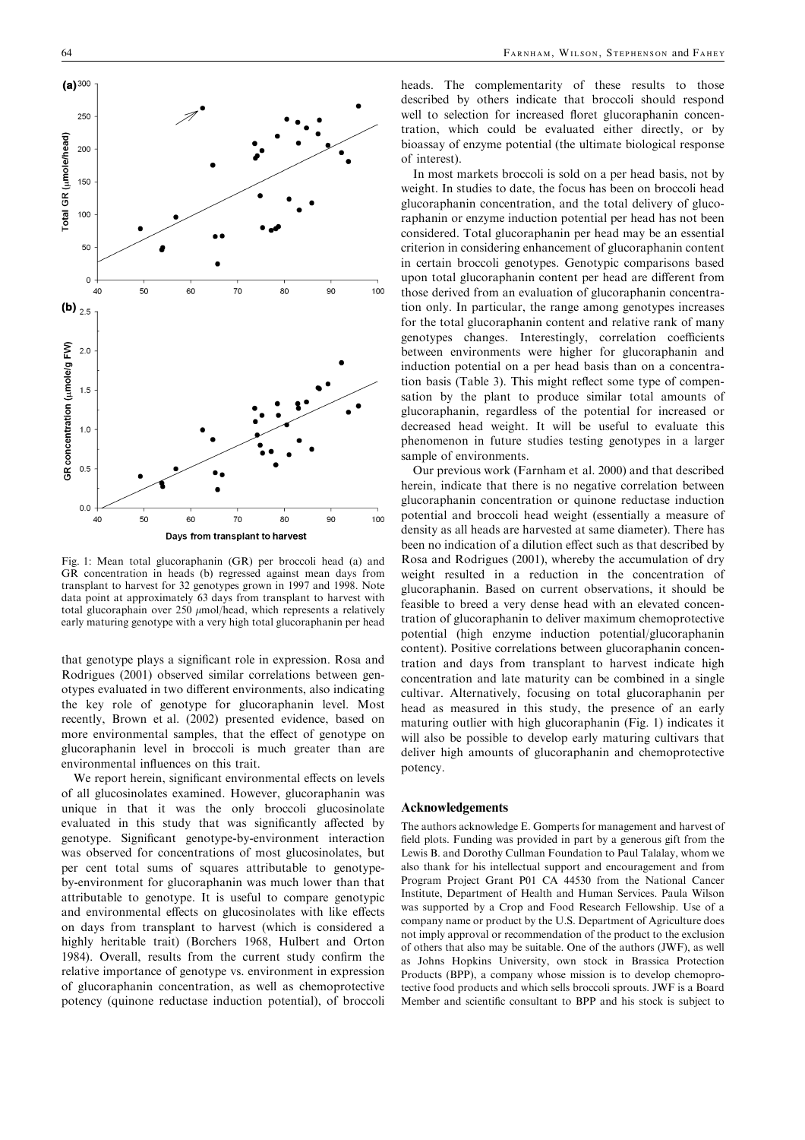

Fig. 1: Mean total glucoraphanin (GR) per broccoli head (a) and GR concentration in heads (b) regressed against mean days from transplant to harvest for 32 genotypes grown in 1997 and 1998. Note data point at approximately63 days from transplant to harvest with total glucoraphain over 250  $\mu$ mol/head, which represents a relatively earlymaturing genotype with a veryhigh total glucoraphanin per head

that genotype plays a significant role in expression. Rosa and Rodrigues (2001) observed similar correlations between genotypes evaluated in two different environments, also indicating the key role of genotype for glucoraphanin level. Most recently, Brown et al. (2002) presented evidence, based on more environmental samples, that the effect of genotype on glucoraphanin level in broccoli is much greater than are environmental influences on this trait.

We report herein, significant environmental effects on levels of all glucosinolates examined. However, glucoraphanin was unique in that it was the only broccoli glucosinolate evaluated in this study that was significantly affected by genotype. Significant genotype-by-environment interaction was observed for concentrations of most glucosinolates, but per cent total sums of squares attributable to genotypeby-environment for glucoraphanin was much lower than that attributable to genotype. It is useful to compare genotypic and environmental effects on glucosinolates with like effects on days from transplant to harvest (which is considered a highly heritable trait) (Borchers 1968, Hulbert and Orton 1984). Overall, results from the current study confirm the relative importance of genotype vs. environment in expression of glucoraphanin concentration, as well as chemoprotective potency(quinone reductase induction potential), of broccoli heads. The complementarity of these results to those described by others indicate that broccoli should respond well to selection for increased floret glucoraphanin concentration, which could be evaluated either directly, or by bioassayof enzyme potential (the ultimate biological response of interest).

In most markets broccoli is sold on a per head basis, not by weight. In studies to date, the focus has been on broccoli head glucoraphanin concentration, and the total deliveryof glucoraphanin or enzyme induction potential per head has not been considered. Total glucoraphanin per head maybe an essential criterion in considering enhancement of glucoraphanin content in certain broccoli genotypes. Genotypic comparisons based upon total glucoraphanin content per head are different from those derived from an evaluation of glucoraphanin concentration only. In particular, the range among genotypes increases for the total glucoraphanin content and relative rank of many genotypes changes. Interestingly, correlation coefficients between environments were higher for glucoraphanin and induction potential on a per head basis than on a concentration basis (Table 3). This might reflect some type of compensation by the plant to produce similar total amounts of glucoraphanin, regardless of the potential for increased or decreased head weight. It will be useful to evaluate this phenomenon in future studies testing genotypes in a larger sample of environments.

Our previous work (Farnham et al. 2000) and that described herein, indicate that there is no negative correlation between glucoraphanin concentration or quinone reductase induction potential and broccoli head weight (essentiallya measure of densityas all heads are harvested at same diameter). There has been no indication of a dilution effect such as that described by Rosa and Rodrigues (2001), whereby the accumulation of dry weight resulted in a reduction in the concentration of glucoraphanin. Based on current observations, it should be feasible to breed a very dense head with an elevated concentration of glucoraphanin to deliver maximum chemoprotective potential (high enzyme induction potential/glucoraphanin content). Positive correlations between glucoraphanin concentration and days from transplant to harvest indicate high concentration and late maturity can be combined in a single cultivar. Alternatively, focusing on total glucoraphanin per head as measured in this study, the presence of an early maturing outlier with high glucoraphanin (Fig. 1) indicates it will also be possible to develop early maturing cultivars that deliver high amounts of glucoraphanin and chemoprotective potency.

# Acknowledgements

The authors acknowledge E. Gomperts for management and harvest of field plots. Funding was provided in part bya generous gift from the Lewis B. and Dorothy Cullman Foundation to Paul Talalay, whom we also thank for his intellectual support and encouragement and from Program Project Grant P01 CA 44530 from the National Cancer Institute, Department of Health and Human Services. Paula Wilson was supported bya Crop and Food Research Fellowship. Use of a company name or product by the U.S. Department of Agriculture does not implyapproval or recommendation of the product to the exclusion of others that also maybe suitable. One of the authors (JWF), as well as Johns Hopkins University, own stock in Brassica Protection Products (BPP), a company whose mission is to develop chemoprotective food products and which sells broccoli sprouts. JWF is a Board Member and scientific consultant to BPP and his stock is subject to